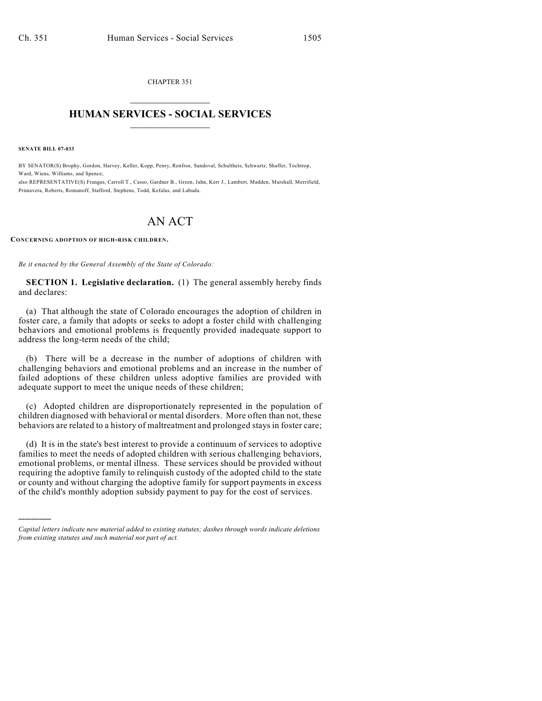CHAPTER 351  $\overline{\phantom{a}}$  . The set of the set of the set of the set of the set of the set of the set of the set of the set of the set of the set of the set of the set of the set of the set of the set of the set of the set of the set o

## **HUMAN SERVICES - SOCIAL SERVICES**  $\frac{1}{2}$  ,  $\frac{1}{2}$  ,  $\frac{1}{2}$  ,  $\frac{1}{2}$  ,  $\frac{1}{2}$  ,  $\frac{1}{2}$  ,  $\frac{1}{2}$

**SENATE BILL 07-033**

)))))

BY SENATOR(S) Brophy, Gordon, Harvey, Keller, Kopp, Penry, Renfroe, Sandoval, Schultheis, Schwartz, Shaffer, Tochtrop, Ward, Wiens, Williams, and Spence: also REPRESENTATIVE(S) Frangas, Carroll T., Casso, Gardner B., Green, Jahn, Kerr J., Lambert, Madden, Marshall, Merrifield,

Primavera, Roberts, Romanoff, Stafford, Stephens, Todd, Kefalas, and Labuda.

## AN ACT

**CONCERNING ADOPTION OF HIGH-RISK CHILDREN.**

*Be it enacted by the General Assembly of the State of Colorado:*

**SECTION 1. Legislative declaration.** (1) The general assembly hereby finds and declares:

(a) That although the state of Colorado encourages the adoption of children in foster care, a family that adopts or seeks to adopt a foster child with challenging behaviors and emotional problems is frequently provided inadequate support to address the long-term needs of the child;

(b) There will be a decrease in the number of adoptions of children with challenging behaviors and emotional problems and an increase in the number of failed adoptions of these children unless adoptive families are provided with adequate support to meet the unique needs of these children;

(c) Adopted children are disproportionately represented in the population of children diagnosed with behavioral or mental disorders. More often than not, these behaviors are related to a history of maltreatment and prolonged stays in foster care;

(d) It is in the state's best interest to provide a continuum of services to adoptive families to meet the needs of adopted children with serious challenging behaviors, emotional problems, or mental illness. These services should be provided without requiring the adoptive family to relinquish custody of the adopted child to the state or county and without charging the adoptive family for support payments in excess of the child's monthly adoption subsidy payment to pay for the cost of services.

*Capital letters indicate new material added to existing statutes; dashes through words indicate deletions from existing statutes and such material not part of act.*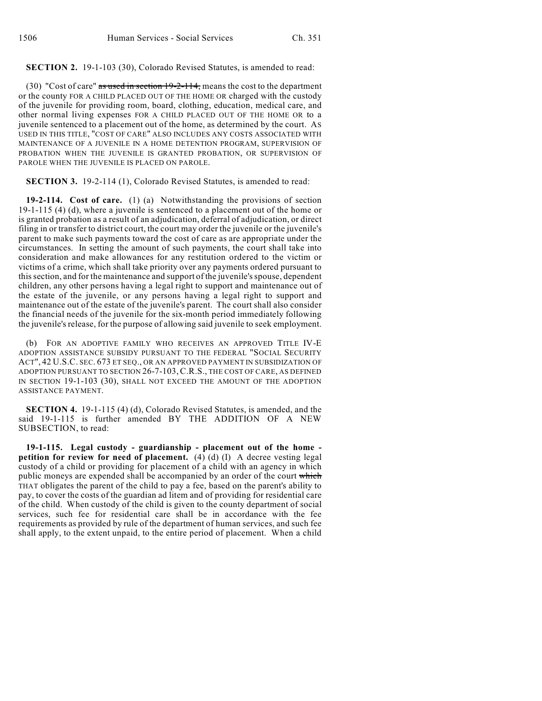## **SECTION 2.** 19-1-103 (30), Colorado Revised Statutes, is amended to read:

(30) "Cost of care" as used in section  $19-2-114$ , means the cost to the department or the county FOR A CHILD PLACED OUT OF THE HOME OR charged with the custody of the juvenile for providing room, board, clothing, education, medical care, and other normal living expenses FOR A CHILD PLACED OUT OF THE HOME OR to a juvenile sentenced to a placement out of the home, as determined by the court. AS USED IN THIS TITLE, "COST OF CARE" ALSO INCLUDES ANY COSTS ASSOCIATED WITH MAINTENANCE OF A JUVENILE IN A HOME DETENTION PROGRAM, SUPERVISION OF PROBATION WHEN THE JUVENILE IS GRANTED PROBATION, OR SUPERVISION OF PAROLE WHEN THE JUVENILE IS PLACED ON PAROLE.

**SECTION 3.** 19-2-114 (1), Colorado Revised Statutes, is amended to read:

**19-2-114. Cost of care.** (1) (a) Notwithstanding the provisions of section 19-1-115 (4) (d), where a juvenile is sentenced to a placement out of the home or is granted probation as a result of an adjudication, deferral of adjudication, or direct filing in or transfer to district court, the court may order the juvenile or the juvenile's parent to make such payments toward the cost of care as are appropriate under the circumstances. In setting the amount of such payments, the court shall take into consideration and make allowances for any restitution ordered to the victim or victims of a crime, which shall take priority over any payments ordered pursuant to this section, and for the maintenance and support of the juvenile's spouse, dependent children, any other persons having a legal right to support and maintenance out of the estate of the juvenile, or any persons having a legal right to support and maintenance out of the estate of the juvenile's parent. The court shall also consider the financial needs of the juvenile for the six-month period immediately following the juvenile's release, for the purpose of allowing said juvenile to seek employment.

(b) FOR AN ADOPTIVE FAMILY WHO RECEIVES AN APPROVED TITLE IV-E ADOPTION ASSISTANCE SUBSIDY PURSUANT TO THE FEDERAL "SOCIAL SECURITY ACT", 42 U.S.C. SEC. 673 ET SEQ., OR AN APPROVED PAYMENT IN SUBSIDIZATION OF ADOPTION PURSUANT TO SECTION 26-7-103, C.R.S., THE COST OF CARE, AS DEFINED IN SECTION 19-1-103 (30), SHALL NOT EXCEED THE AMOUNT OF THE ADOPTION ASSISTANCE PAYMENT.

**SECTION 4.** 19-1-115 (4) (d), Colorado Revised Statutes, is amended, and the said 19-1-115 is further amended BY THE ADDITION OF A NEW SUBSECTION, to read:

**19-1-115. Legal custody - guardianship - placement out of the home petition for review for need of placement.** (4) (d) (I) A decree vesting legal custody of a child or providing for placement of a child with an agency in which public moneys are expended shall be accompanied by an order of the court which THAT obligates the parent of the child to pay a fee, based on the parent's ability to pay, to cover the costs of the guardian ad litem and of providing for residential care of the child. When custody of the child is given to the county department of social services, such fee for residential care shall be in accordance with the fee requirements as provided by rule of the department of human services, and such fee shall apply, to the extent unpaid, to the entire period of placement. When a child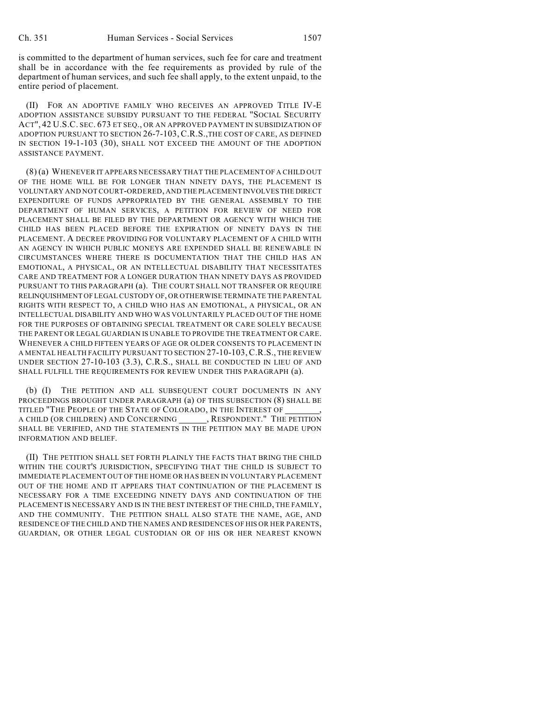is committed to the department of human services, such fee for care and treatment shall be in accordance with the fee requirements as provided by rule of the department of human services, and such fee shall apply, to the extent unpaid, to the entire period of placement.

(II) FOR AN ADOPTIVE FAMILY WHO RECEIVES AN APPROVED TITLE IV-E ADOPTION ASSISTANCE SUBSIDY PURSUANT TO THE FEDERAL "SOCIAL SECURITY ACT", 42 U.S.C. SEC. 673 ET SEQ., OR AN APPROVED PAYMENT IN SUBSIDIZATION OF ADOPTION PURSUANT TO SECTION 26-7-103, C.R.S.,THE COST OF CARE, AS DEFINED IN SECTION 19-1-103 (30), SHALL NOT EXCEED THE AMOUNT OF THE ADOPTION ASSISTANCE PAYMENT.

(8) (a) WHENEVER IT APPEARS NECESSARY THAT THE PLACEMENT OF A CHILD OUT OF THE HOME WILL BE FOR LONGER THAN NINETY DAYS, THE PLACEMENT IS VOLUNTARY AND NOT COURT-ORDERED, AND THE PLACEMENT INVOLVES THE DIRECT EXPENDITURE OF FUNDS APPROPRIATED BY THE GENERAL ASSEMBLY TO THE DEPARTMENT OF HUMAN SERVICES, A PETITION FOR REVIEW OF NEED FOR PLACEMENT SHALL BE FILED BY THE DEPARTMENT OR AGENCY WITH WHICH THE CHILD HAS BEEN PLACED BEFORE THE EXPIRATION OF NINETY DAYS IN THE PLACEMENT. A DECREE PROVIDING FOR VOLUNTARY PLACEMENT OF A CHILD WITH AN AGENCY IN WHICH PUBLIC MONEYS ARE EXPENDED SHALL BE RENEWABLE IN CIRCUMSTANCES WHERE THERE IS DOCUMENTATION THAT THE CHILD HAS AN EMOTIONAL, A PHYSICAL, OR AN INTELLECTUAL DISABILITY THAT NECESSITATES CARE AND TREATMENT FOR A LONGER DURATION THAN NINETY DAYS AS PROVIDED PURSUANT TO THIS PARAGRAPH (a). THE COURT SHALL NOT TRANSFER OR REQUIRE RELINQUISHMENT OF LEGAL CUSTODY OF, OR OTHERWISE TERMINATE THE PARENTAL RIGHTS WITH RESPECT TO, A CHILD WHO HAS AN EMOTIONAL, A PHYSICAL, OR AN INTELLECTUAL DISABILITY AND WHO WAS VOLUNTARILY PLACED OUT OF THE HOME FOR THE PURPOSES OF OBTAINING SPECIAL TREATMENT OR CARE SOLELY BECAUSE THE PARENT OR LEGAL GUARDIAN IS UNABLE TO PROVIDE THE TREATMENT OR CARE. WHENEVER A CHILD FIFTEEN YEARS OF AGE OR OLDER CONSENTS TO PLACEMENT IN A MENTAL HEALTH FACILITY PURSUANT TO SECTION 27-10-103,C.R.S., THE REVIEW UNDER SECTION 27-10-103 (3.3), C.R.S., SHALL BE CONDUCTED IN LIEU OF AND SHALL FULFILL THE REQUIREMENTS FOR REVIEW UNDER THIS PARAGRAPH (a).

(b) (I) THE PETITION AND ALL SUBSEQUENT COURT DOCUMENTS IN ANY PROCEEDINGS BROUGHT UNDER PARAGRAPH (a) OF THIS SUBSECTION (8) SHALL BE TITLED "THE PEOPLE OF THE STATE OF COLORADO, IN THE INTEREST OF , A CHILD (OR CHILDREN) AND CONCERNING \_\_\_\_\_\_\_, RESPONDENT." THE PETITION SHALL BE VERIFIED, AND THE STATEMENTS IN THE PETITION MAY BE MADE UPON INFORMATION AND BELIEF.

(II) THE PETITION SHALL SET FORTH PLAINLY THE FACTS THAT BRING THE CHILD WITHIN THE COURT'S JURISDICTION, SPECIFYING THAT THE CHILD IS SUBJECT TO IMMEDIATE PLACEMENT OUT OF THE HOME OR HAS BEEN IN VOLUNTARY PLACEMENT OUT OF THE HOME AND IT APPEARS THAT CONTINUATION OF THE PLACEMENT IS NECESSARY FOR A TIME EXCEEDING NINETY DAYS AND CONTINUATION OF THE PLACEMENT IS NECESSARY AND IS IN THE BEST INTEREST OF THE CHILD, THE FAMILY, AND THE COMMUNITY. THE PETITION SHALL ALSO STATE THE NAME, AGE, AND RESIDENCE OF THE CHILD AND THE NAMES AND RESIDENCES OF HIS OR HER PARENTS, GUARDIAN, OR OTHER LEGAL CUSTODIAN OR OF HIS OR HER NEAREST KNOWN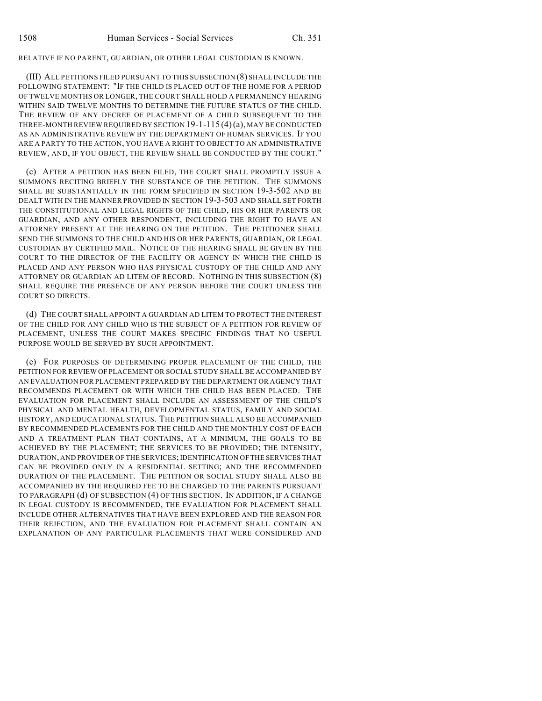RELATIVE IF NO PARENT, GUARDIAN, OR OTHER LEGAL CUSTODIAN IS KNOWN.

(III) ALL PETITIONS FILED PURSUANT TO THIS SUBSECTION (8) SHALL INCLUDE THE FOLLOWING STATEMENT: "IF THE CHILD IS PLACED OUT OF THE HOME FOR A PERIOD OF TWELVE MONTHS OR LONGER, THE COURT SHALL HOLD A PERMANENCY HEARING WITHIN SAID TWELVE MONTHS TO DETERMINE THE FUTURE STATUS OF THE CHILD. THE REVIEW OF ANY DECREE OF PLACEMENT OF A CHILD SUBSEQUENT TO THE THREE-MONTH REVIEW REQUIRED BY SECTION 19-1-115 (4)(a), MAY BE CONDUCTED AS AN ADMINISTRATIVE REVIEW BY THE DEPARTMENT OF HUMAN SERVICES. IF YOU ARE A PARTY TO THE ACTION, YOU HAVE A RIGHT TO OBJECT TO AN ADMINISTRATIVE REVIEW, AND, IF YOU OBJECT, THE REVIEW SHALL BE CONDUCTED BY THE COURT."

(c) AFTER A PETITION HAS BEEN FILED, THE COURT SHALL PROMPTLY ISSUE A SUMMONS RECITING BRIEFLY THE SUBSTANCE OF THE PETITION. THE SUMMONS SHALL BE SUBSTANTIALLY IN THE FORM SPECIFIED IN SECTION 19-3-502 AND BE DEALT WITH IN THE MANNER PROVIDED IN SECTION 19-3-503 AND SHALL SET FORTH THE CONSTITUTIONAL AND LEGAL RIGHTS OF THE CHILD, HIS OR HER PARENTS OR GUARDIAN, AND ANY OTHER RESPONDENT, INCLUDING THE RIGHT TO HAVE AN ATTORNEY PRESENT AT THE HEARING ON THE PETITION. THE PETITIONER SHALL SEND THE SUMMONS TO THE CHILD AND HIS OR HER PARENTS, GUARDIAN, OR LEGAL CUSTODIAN BY CERTIFIED MAIL. NOTICE OF THE HEARING SHALL BE GIVEN BY THE COURT TO THE DIRECTOR OF THE FACILITY OR AGENCY IN WHICH THE CHILD IS PLACED AND ANY PERSON WHO HAS PHYSICAL CUSTODY OF THE CHILD AND ANY ATTORNEY OR GUARDIAN AD LITEM OF RECORD. NOTHING IN THIS SUBSECTION (8) SHALL REQUIRE THE PRESENCE OF ANY PERSON BEFORE THE COURT UNLESS THE COURT SO DIRECTS.

(d) THE COURT SHALL APPOINT A GUARDIAN AD LITEM TO PROTECT THE INTEREST OF THE CHILD FOR ANY CHILD WHO IS THE SUBJECT OF A PETITION FOR REVIEW OF PLACEMENT, UNLESS THE COURT MAKES SPECIFIC FINDINGS THAT NO USEFUL PURPOSE WOULD BE SERVED BY SUCH APPOINTMENT.

(e) FOR PURPOSES OF DETERMINING PROPER PLACEMENT OF THE CHILD, THE PETITION FOR REVIEW OF PLACEMENT OR SOCIAL STUDY SHALL BE ACCOMPANIED BY AN EVALUATION FOR PLACEMENT PREPARED BY THE DEPARTMENT OR AGENCY THAT RECOMMENDS PLACEMENT OR WITH WHICH THE CHILD HAS BEEN PLACED. THE EVALUATION FOR PLACEMENT SHALL INCLUDE AN ASSESSMENT OF THE CHILD'S PHYSICAL AND MENTAL HEALTH, DEVELOPMENTAL STATUS, FAMILY AND SOCIAL HISTORY, AND EDUCATIONAL STATUS. THE PETITION SHALL ALSO BE ACCOMPANIED BY RECOMMENDED PLACEMENTS FOR THE CHILD AND THE MONTHLY COST OF EACH AND A TREATMENT PLAN THAT CONTAINS, AT A MINIMUM, THE GOALS TO BE ACHIEVED BY THE PLACEMENT; THE SERVICES TO BE PROVIDED; THE INTENSITY, DURATION, AND PROVIDER OF THE SERVICES; IDENTIFICATION OF THE SERVICES THAT CAN BE PROVIDED ONLY IN A RESIDENTIAL SETTING; AND THE RECOMMENDED DURATION OF THE PLACEMENT. THE PETITION OR SOCIAL STUDY SHALL ALSO BE ACCOMPANIED BY THE REQUIRED FEE TO BE CHARGED TO THE PARENTS PURSUANT TO PARAGRAPH (d) OF SUBSECTION (4) OF THIS SECTION. IN ADDITION, IF A CHANGE IN LEGAL CUSTODY IS RECOMMENDED, THE EVALUATION FOR PLACEMENT SHALL INCLUDE OTHER ALTERNATIVES THAT HAVE BEEN EXPLORED AND THE REASON FOR THEIR REJECTION, AND THE EVALUATION FOR PLACEMENT SHALL CONTAIN AN EXPLANATION OF ANY PARTICULAR PLACEMENTS THAT WERE CONSIDERED AND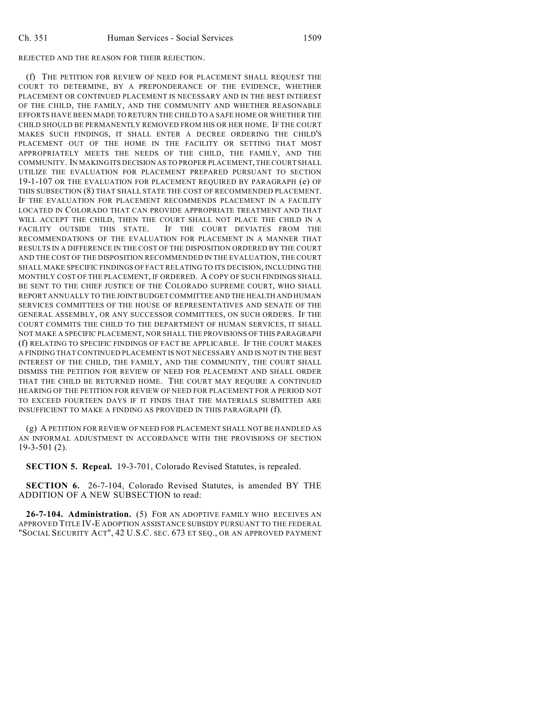## REJECTED AND THE REASON FOR THEIR REJECTION.

(f) THE PETITION FOR REVIEW OF NEED FOR PLACEMENT SHALL REQUEST THE COURT TO DETERMINE, BY A PREPONDERANCE OF THE EVIDENCE, WHETHER PLACEMENT OR CONTINUED PLACEMENT IS NECESSARY AND IN THE BEST INTEREST OF THE CHILD, THE FAMILY, AND THE COMMUNITY AND WHETHER REASONABLE EFFORTS HAVE BEEN MADE TO RETURN THE CHILD TO A SAFE HOME OR WHETHER THE CHILD SHOULD BE PERMANENTLY REMOVED FROM HIS OR HER HOME. IF THE COURT MAKES SUCH FINDINGS, IT SHALL ENTER A DECREE ORDERING THE CHILD'S PLACEMENT OUT OF THE HOME IN THE FACILITY OR SETTING THAT MOST APPROPRIATELY MEETS THE NEEDS OF THE CHILD, THE FAMILY, AND THE COMMUNITY. IN MAKING ITS DECISION AS TO PROPER PLACEMENT, THE COURT SHALL UTILIZE THE EVALUATION FOR PLACEMENT PREPARED PURSUANT TO SECTION 19-1-107 OR THE EVALUATION FOR PLACEMENT REQUIRED BY PARAGRAPH (e) OF THIS SUBSECTION (8) THAT SHALL STATE THE COST OF RECOMMENDED PLACEMENT. IF THE EVALUATION FOR PLACEMENT RECOMMENDS PLACEMENT IN A FACILITY LOCATED IN COLORADO THAT CAN PROVIDE APPROPRIATE TREATMENT AND THAT WILL ACCEPT THE CHILD, THEN THE COURT SHALL NOT PLACE THE CHILD IN A FACILITY OUTSIDE THIS STATE. IF THE COURT DEVIATES FROM THE RECOMMENDATIONS OF THE EVALUATION FOR PLACEMENT IN A MANNER THAT RESULTS IN A DIFFERENCE IN THE COST OF THE DISPOSITION ORDERED BY THE COURT AND THE COST OF THE DISPOSITION RECOMMENDED IN THE EVALUATION, THE COURT SHALL MAKE SPECIFIC FINDINGS OF FACT RELATING TO ITS DECISION, INCLUDING THE MONTHLY COST OF THE PLACEMENT, IF ORDERED. A COPY OF SUCH FINDINGS SHALL BE SENT TO THE CHIEF JUSTICE OF THE COLORADO SUPREME COURT, WHO SHALL REPORT ANNUALLY TO THE JOINT BUDGET COMMITTEE AND THE HEALTH AND HUMAN SERVICES COMMITTEES OF THE HOUSE OF REPRESENTATIVES AND SENATE OF THE GENERAL ASSEMBLY, OR ANY SUCCESSOR COMMITTEES, ON SUCH ORDERS. IF THE COURT COMMITS THE CHILD TO THE DEPARTMENT OF HUMAN SERVICES, IT SHALL NOT MAKE A SPECIFIC PLACEMENT, NOR SHALL THE PROVISIONS OF THIS PARAGRAPH (f) RELATING TO SPECIFIC FINDINGS OF FACT BE APPLICABLE. IF THE COURT MAKES A FINDING THAT CONTINUED PLACEMENT IS NOT NECESSARY AND IS NOT IN THE BEST INTEREST OF THE CHILD, THE FAMILY, AND THE COMMUNITY, THE COURT SHALL DISMISS THE PETITION FOR REVIEW OF NEED FOR PLACEMENT AND SHALL ORDER THAT THE CHILD BE RETURNED HOME. THE COURT MAY REQUIRE A CONTINUED HEARING OF THE PETITION FOR REVIEW OF NEED FOR PLACEMENT FOR A PERIOD NOT TO EXCEED FOURTEEN DAYS IF IT FINDS THAT THE MATERIALS SUBMITTED ARE INSUFFICIENT TO MAKE A FINDING AS PROVIDED IN THIS PARAGRAPH (f).

(g) A PETITION FOR REVIEW OF NEED FOR PLACEMENT SHALL NOT BE HANDLED AS AN INFORMAL ADJUSTMENT IN ACCORDANCE WITH THE PROVISIONS OF SECTION 19-3-501 (2).

**SECTION 5. Repeal.** 19-3-701, Colorado Revised Statutes, is repealed.

**SECTION 6.** 26-7-104, Colorado Revised Statutes, is amended BY THE ADDITION OF A NEW SUBSECTION to read:

**26-7-104. Administration.** (5) FOR AN ADOPTIVE FAMILY WHO RECEIVES AN APPROVED TITLE IV-E ADOPTION ASSISTANCE SUBSIDY PURSUANT TO THE FEDERAL "SOCIAL SECURITY ACT", 42 U.S.C. SEC. 673 ET SEQ., OR AN APPROVED PAYMENT